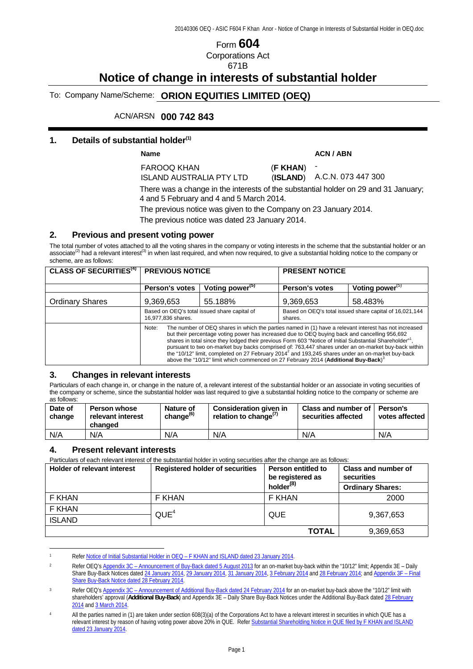# Form **604** Corporations Act 671B

# **Notice of change in interests of substantial holder**

To: Company Name/Scheme: **ORION EQUITIES LIMITED (OEQ)** 

ACN/ARSN **000 742 843** 

#### **1. Details of substantial holder(1)**

Name ACN / ABN **ACN** / ABN

FAROOQ KHAN (**F KHAN**) ISLAND AUSTRALIA PTY LTD (**ISLAND**)

-

A.C.N. 073 447 300

There was a change in the interests of the substantial holder on 29 and 31 January; 4 and 5 February and 4 and 5 March 2014.

The previous notice was given to the Company on 23 January 2014.

The previous notice was dated 23 January 2014.

#### **2. Previous and present voting power**

The total number of votes attached to all the voting shares in the company or voting interests in the scheme that the substantial holder or an associate<sup>(2)</sup> had a relevant interest<sup>(3)</sup> in when last required, and when now required, to give a substantial holding notice to the company or associate<sup>(2)</sup> had a relevant interest<sup>(3)</sup> in when last required, and when n scheme, are as follows:

| <b>CLASS OF SECURITIES<sup>(4)</sup></b> | <b>PREVIOUS NOTICE</b>                                                                                                                                                                                                                                                                                                                                                                                                                                                                                                                                                                                                                                           |                             | <b>PRESENT NOTICE</b>                                              |                    |
|------------------------------------------|------------------------------------------------------------------------------------------------------------------------------------------------------------------------------------------------------------------------------------------------------------------------------------------------------------------------------------------------------------------------------------------------------------------------------------------------------------------------------------------------------------------------------------------------------------------------------------------------------------------------------------------------------------------|-----------------------------|--------------------------------------------------------------------|--------------------|
|                                          | <b>Person's votes</b>                                                                                                                                                                                                                                                                                                                                                                                                                                                                                                                                                                                                                                            | Voting power <sup>(5)</sup> | <b>Person's votes</b>                                              | Voting power $(5)$ |
| <b>Ordinary Shares</b>                   | 9,369,653                                                                                                                                                                                                                                                                                                                                                                                                                                                                                                                                                                                                                                                        | 55.188%                     | 9,369,653                                                          | 58.483%            |
|                                          | Based on OEQ's total issued share capital of<br>16,977,836 shares.                                                                                                                                                                                                                                                                                                                                                                                                                                                                                                                                                                                               |                             | Based on OEQ's total issued share capital of 16,021,144<br>shares. |                    |
|                                          | The number of OEQ shares in which the parties named in (1) have a relevant interest has not increased<br>Note:<br>but their percentage voting power has increased due to OEQ buying back and cancelling 956,692<br>shares in total since they lodged their previous Form 603 "Notice of Initial Substantial Shareholder" <sup>1</sup> .<br>pursuant to two on-market buy backs comprised of: 763,447 shares under an on-market buy-back within<br>the "10/12" limit, completed on 27 February 2014 <sup>2</sup> and 193,245 shares under an on-market buy-back<br>above the "10/12" limit which commenced on 27 February 2014 (Additional Buy-Back) <sup>3</sup> |                             |                                                                    |                    |

#### **3. Changes in relevant interests**

Particulars of each change in, or change in the nature of, a relevant interest of the substantial holder or an associate in voting securities of the company or scheme, since the substantial holder was last required to give a substantial holding notice to the company or scheme are as follows:

| Date of<br>change | <b>Person whose</b><br>relevant interest<br>changed | <b>Nature of</b><br>change <sup>(6)</sup> | Consideration given in<br>relation to change <sup>(7)</sup> | Class and number of I<br>securities affected | <b>Person's</b><br>votes affected |
|-------------------|-----------------------------------------------------|-------------------------------------------|-------------------------------------------------------------|----------------------------------------------|-----------------------------------|
| N/A               | N/A                                                 | N/A                                       | N/A                                                         | N/A                                          | N/A                               |

### **4. Present relevant interests**

 $\overline{a}$ 

Particulars of each relevant interest of the substantial holder in voting securities after the change are as follows:

| Holder of relevant interest | <b>Registered holder of securities</b> | Person entitled to<br>be registered as | Class and number of<br>securities |
|-----------------------------|----------------------------------------|----------------------------------------|-----------------------------------|
|                             |                                        | holder <sup>(8)</sup>                  | <b>Ordinary Shares:</b>           |
| F KHAN                      | F KHAN                                 | F KHAN                                 | 2000                              |
| F KHAN                      | QUE <sup>4</sup>                       | QUE                                    | 9,367,653                         |
| <b>ISLAND</b>               |                                        |                                        |                                   |
|                             |                                        | <b>TOTAL</b>                           | 9,369,653                         |

Refer Notice of Initial Substantial Holder in OEQ - F KHAN and ISLAND dated 23 January 2014.

<sup>&</sup>lt;sup>2</sup> Refer OEQ's Appendix 3C – Announcement of Buy-Back dated 5 August 2013</u> for an on-market buy-back within the "10/12" limit; Appendix 3E – Daily Share Buy-Back Notices dated 24 January 2014, 29 January 2014, 31 January 2014, 3 February 2014 and 28 February 2014; and Appendix 3F – Final Share Buy-Back Notice dated 28 February 2014.

Refer OEQ's Appendix 3C - Announcement of Additional Buy-Back dated 24 February 2014 for an on-market buy-back above the "10/12" limit with shareholders' approval (**Additional Buy-Back**) and Appendix 3E – Daily Share Buy-Back Notices under the Additional Buy-Back dated 28 February 2014 and 3 March 2014.

All the parties named in (1) are taken under section 608(3)(a) of the Corporations Act to have a relevant interest in securities in which QUE has a relevant interest by reason of having voting power above 20% in QUE. Refer Substantial Shareholding Notice in QUE filed by F KHAN and ISLAND dated 23 January 2014.